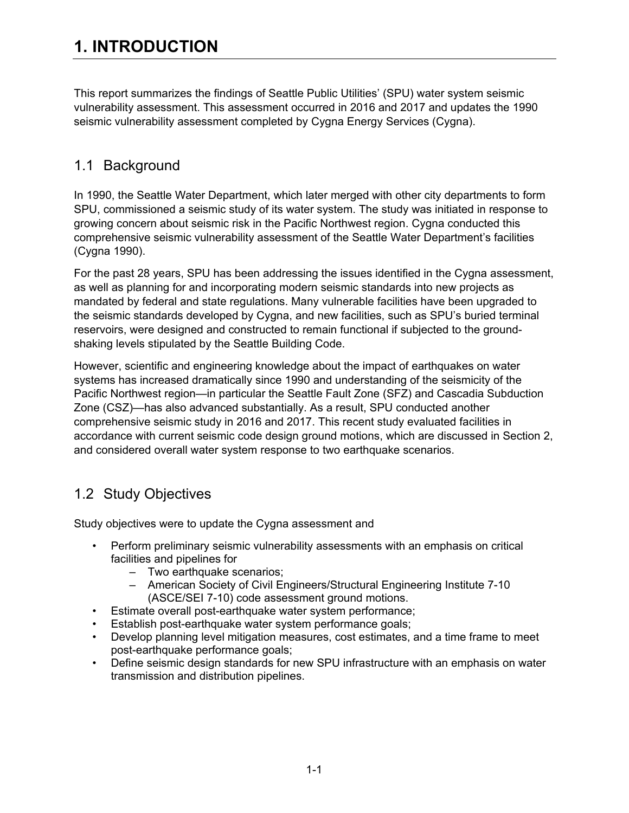This report summarizes the findings of Seattle Public Utilities' (SPU) water system seismic vulnerability assessment. This assessment occurred in 2016 and 2017 and updates the 1990 seismic vulnerability assessment completed by Cygna Energy Services (Cygna).

## 1.1 Background

In 1990, the Seattle Water Department, which later merged with other city departments to form SPU, commissioned a seismic study of its water system. The study was initiated in response to growing concern about seismic risk in the Pacific Northwest region. Cygna conducted this comprehensive seismic vulnerability assessment of the Seattle Water Department's facilities (Cygna 1990).

For the past 28 years, SPU has been addressing the issues identified in the Cygna assessment, as well as planning for and incorporating modern seismic standards into new projects as mandated by federal and state regulations. Many vulnerable facilities have been upgraded to the seismic standards developed by Cygna, and new facilities, such as SPU's buried terminal reservoirs, were designed and constructed to remain functional if subjected to the groundshaking levels stipulated by the Seattle Building Code.

However, scientific and engineering knowledge about the impact of earthquakes on water systems has increased dramatically since 1990 and understanding of the seismicity of the Pacific Northwest region—in particular the Seattle Fault Zone (SFZ) and Cascadia Subduction Zone (CSZ)—has also advanced substantially. As a result, SPU conducted another comprehensive seismic study in 2016 and 2017. This recent study evaluated facilities in accordance with current seismic code design ground motions, which are discussed in Section 2, and considered overall water system response to two earthquake scenarios.

## 1.2 Study Objectives

Study objectives were to update the Cygna assessment and

- Perform preliminary seismic vulnerability assessments with an emphasis on critical facilities and pipelines for
	- Two earthquake scenarios;
	- American Society of Civil Engineers/Structural Engineering Institute 7-10 (ASCE/SEI 7-10) code assessment ground motions.
- Estimate overall post-earthquake water system performance;
- Establish post-earthquake water system performance goals;
- Develop planning level mitigation measures, cost estimates, and a time frame to meet post-earthquake performance goals;
- Define seismic design standards for new SPU infrastructure with an emphasis on water transmission and distribution pipelines.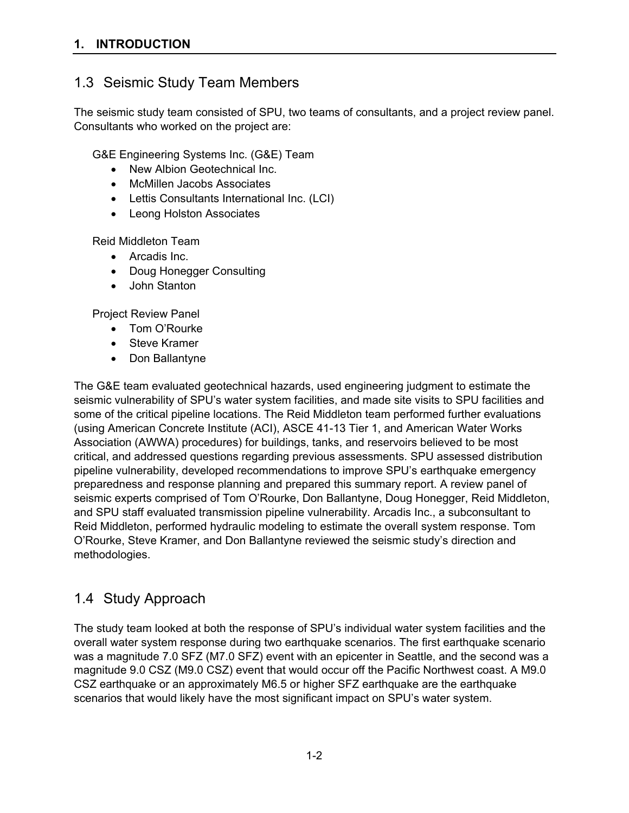## 1.3 Seismic Study Team Members

The seismic study team consisted of SPU, two teams of consultants, and a project review panel. Consultants who worked on the project are:

G&E Engineering Systems Inc. (G&E) Team

- New Albion Geotechnical Inc.
- McMillen Jacobs Associates
- Lettis Consultants International Inc. (LCI)
- Leong Holston Associates

Reid Middleton Team

- Arcadis Inc.
- Doug Honegger Consulting
- John Stanton

Project Review Panel

- Tom O'Rourke
- Steve Kramer
- Don Ballantyne

The G&E team evaluated geotechnical hazards, used engineering judgment to estimate the seismic vulnerability of SPU's water system facilities, and made site visits to SPU facilities and some of the critical pipeline locations. The Reid Middleton team performed further evaluations (using American Concrete Institute (ACI), ASCE 41-13 Tier 1, and American Water Works Association (AWWA) procedures) for buildings, tanks, and reservoirs believed to be most critical, and addressed questions regarding previous assessments. SPU assessed distribution pipeline vulnerability, developed recommendations to improve SPU's earthquake emergency preparedness and response planning and prepared this summary report. A review panel of seismic experts comprised of Tom O'Rourke, Don Ballantyne, Doug Honegger, Reid Middleton, and SPU staff evaluated transmission pipeline vulnerability. Arcadis Inc., a subconsultant to Reid Middleton, performed hydraulic modeling to estimate the overall system response. Tom O'Rourke, Steve Kramer, and Don Ballantyne reviewed the seismic study's direction and methodologies.

#### 1.4 Study Approach

The study team looked at both the response of SPU's individual water system facilities and the overall water system response during two earthquake scenarios. The first earthquake scenario was a magnitude 7.0 SFZ (M7.0 SFZ) event with an epicenter in Seattle, and the second was a magnitude 9.0 CSZ (M9.0 CSZ) event that would occur off the Pacific Northwest coast. A M9.0 CSZ earthquake or an approximately M6.5 or higher SFZ earthquake are the earthquake scenarios that would likely have the most significant impact on SPU's water system.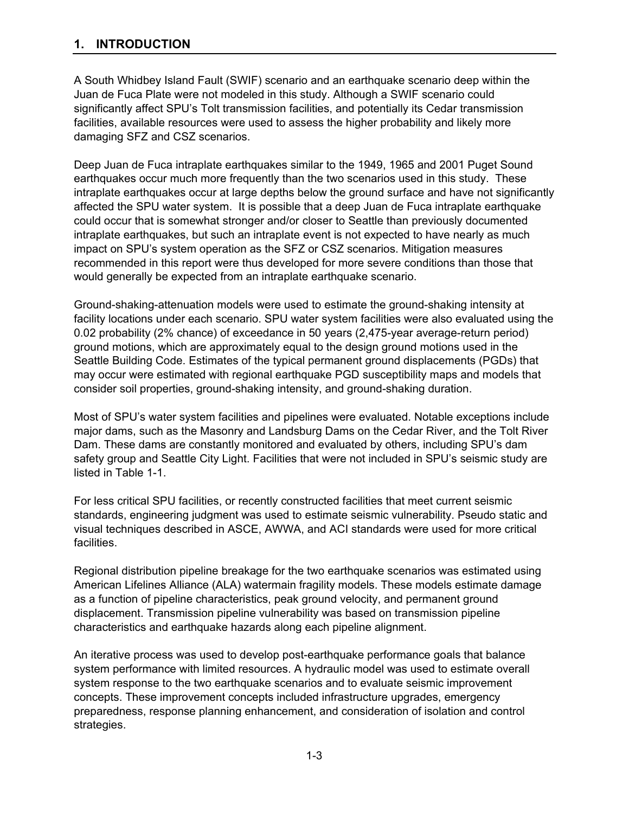A South Whidbey Island Fault (SWIF) scenario and an earthquake scenario deep within the Juan de Fuca Plate were not modeled in this study. Although a SWIF scenario could significantly affect SPU's Tolt transmission facilities, and potentially its Cedar transmission facilities, available resources were used to assess the higher probability and likely more damaging SFZ and CSZ scenarios.

Deep Juan de Fuca intraplate earthquakes similar to the 1949, 1965 and 2001 Puget Sound earthquakes occur much more frequently than the two scenarios used in this study. These intraplate earthquakes occur at large depths below the ground surface and have not significantly affected the SPU water system. It is possible that a deep Juan de Fuca intraplate earthquake could occur that is somewhat stronger and/or closer to Seattle than previously documented intraplate earthquakes, but such an intraplate event is not expected to have nearly as much impact on SPU's system operation as the SFZ or CSZ scenarios. Mitigation measures recommended in this report were thus developed for more severe conditions than those that would generally be expected from an intraplate earthquake scenario.

Ground-shaking-attenuation models were used to estimate the ground-shaking intensity at facility locations under each scenario. SPU water system facilities were also evaluated using the 0.02 probability (2% chance) of exceedance in 50 years (2,475-year average-return period) ground motions, which are approximately equal to the design ground motions used in the Seattle Building Code. Estimates of the typical permanent ground displacements (PGDs) that may occur were estimated with regional earthquake PGD susceptibility maps and models that consider soil properties, ground-shaking intensity, and ground-shaking duration.

Most of SPU's water system facilities and pipelines were evaluated. Notable exceptions include major dams, such as the Masonry and Landsburg Dams on the Cedar River, and the Tolt River Dam. These dams are constantly monitored and evaluated by others, including SPU's dam safety group and Seattle City Light. Facilities that were not included in SPU's seismic study are listed in Table 1-1.

For less critical SPU facilities, or recently constructed facilities that meet current seismic standards, engineering judgment was used to estimate seismic vulnerability. Pseudo static and visual techniques described in ASCE, AWWA, and ACI standards were used for more critical facilities.

Regional distribution pipeline breakage for the two earthquake scenarios was estimated using American Lifelines Alliance (ALA) watermain fragility models. These models estimate damage as a function of pipeline characteristics, peak ground velocity, and permanent ground displacement. Transmission pipeline vulnerability was based on transmission pipeline characteristics and earthquake hazards along each pipeline alignment.

An iterative process was used to develop post-earthquake performance goals that balance system performance with limited resources. A hydraulic model was used to estimate overall system response to the two earthquake scenarios and to evaluate seismic improvement concepts. These improvement concepts included infrastructure upgrades, emergency preparedness, response planning enhancement, and consideration of isolation and control strategies.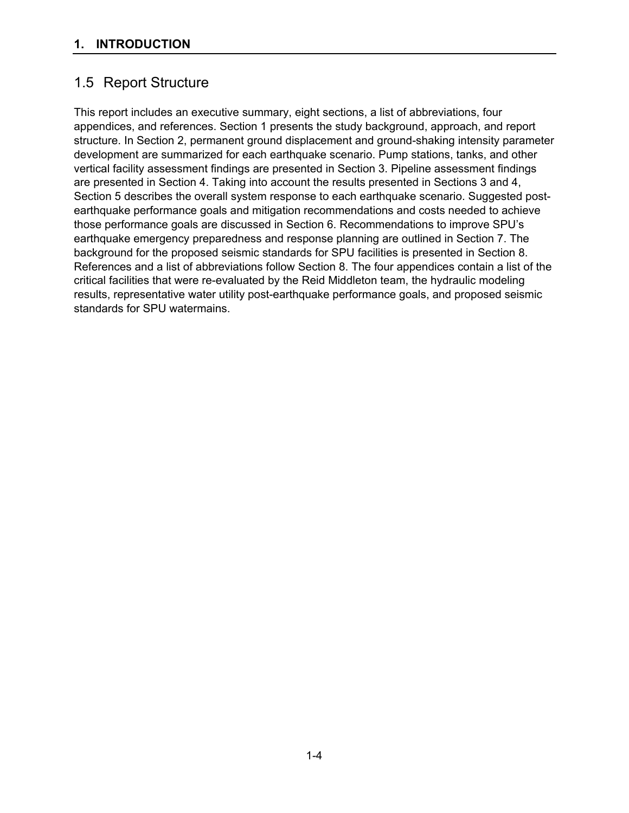## 1.5 Report Structure

This report includes an executive summary, eight sections, a list of abbreviations, four appendices, and references. Section 1 presents the study background, approach, and report structure. In Section 2, permanent ground displacement and ground-shaking intensity parameter development are summarized for each earthquake scenario. Pump stations, tanks, and other vertical facility assessment findings are presented in Section 3. Pipeline assessment findings are presented in Section 4. Taking into account the results presented in Sections 3 and 4, Section 5 describes the overall system response to each earthquake scenario. Suggested postearthquake performance goals and mitigation recommendations and costs needed to achieve those performance goals are discussed in Section 6. Recommendations to improve SPU's earthquake emergency preparedness and response planning are outlined in Section 7. The background for the proposed seismic standards for SPU facilities is presented in Section 8. References and a list of abbreviations follow Section 8. The four appendices contain a list of the critical facilities that were re-evaluated by the Reid Middleton team, the hydraulic modeling results, representative water utility post-earthquake performance goals, and proposed seismic standards for SPU watermains.